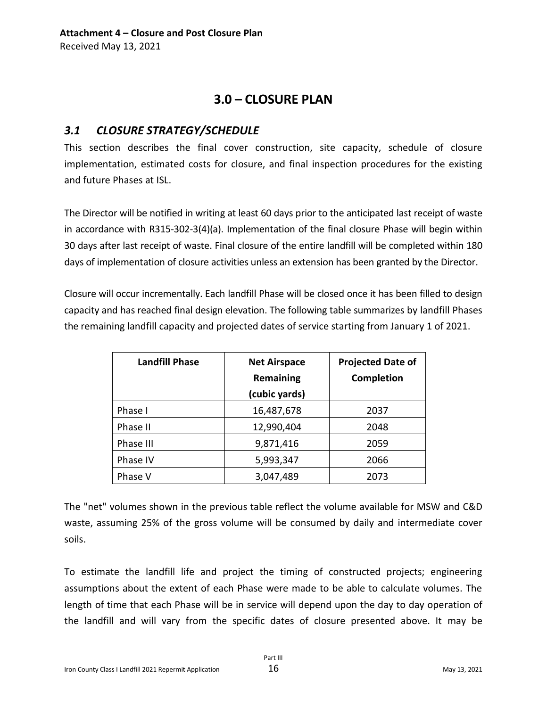# **3.0 – CLOSURE PLAN**

## *3.1 CLOSURE STRATEGY/SCHEDULE*

This section describes the final cover construction, site capacity, schedule of closure implementation, estimated costs for closure, and final inspection procedures for the existing and future Phases at ISL.

The Director will be notified in writing at least 60 days prior to the anticipated last receipt of waste in accordance with R315-302-3(4)(a). Implementation of the final closure Phase will begin within 30 days after last receipt of waste. Final closure of the entire landfill will be completed within 180 days of implementation of closure activities unless an extension has been granted by the Director.

Closure will occur incrementally. Each landfill Phase will be closed once it has been filled to design capacity and has reached final design elevation. The following table summarizes by landfill Phases the remaining landfill capacity and projected dates of service starting from January 1 of 2021.

| <b>Landfill Phase</b> | <b>Net Airspace</b> | <b>Projected Date of</b> |
|-----------------------|---------------------|--------------------------|
|                       | Remaining           | Completion               |
|                       | (cubic yards)       |                          |
| Phase I               | 16,487,678          | 2037                     |
| Phase II              | 12,990,404          | 2048                     |
| Phase III             | 9,871,416           | 2059                     |
| Phase IV              | 5,993,347           | 2066                     |
| Phase V               | 3,047,489           | 2073                     |

The "net" volumes shown in the previous table reflect the volume available for MSW and C&D waste, assuming 25% of the gross volume will be consumed by daily and intermediate cover soils.

To estimate the landfill life and project the timing of constructed projects; engineering assumptions about the extent of each Phase were made to be able to calculate volumes. The length of time that each Phase will be in service will depend upon the day to day operation of the landfill and will vary from the specific dates of closure presented above. It may be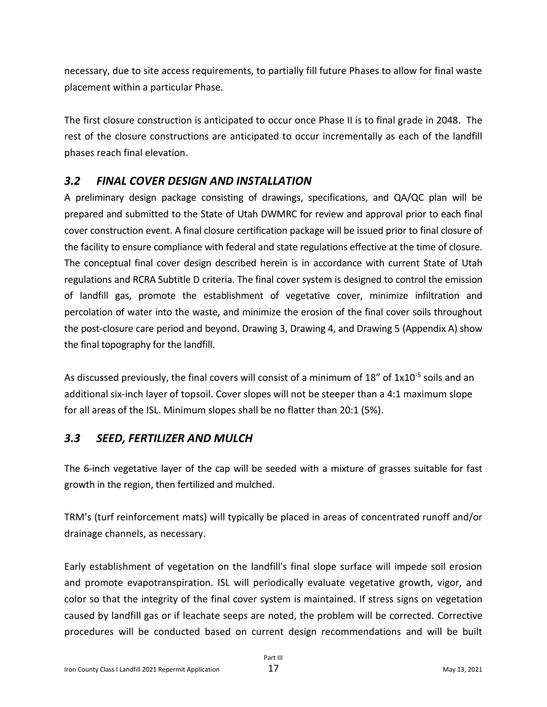necessary, due to site access requirements, to partially fill future Phases to allow for final waste placement within a particular Phase.

The first closure construction is anticipated to occur once Phase II is to final grade in 2048. The rest of the closure constructions are anticipated to occur incrementally as each of the landfill phases reach final elevation.

# *3.2 FINAL COVER DESIGN AND INSTALLATION*

A preliminary design package consisting of drawings, specifications, and QA/QC plan will be prepared and submitted to the State of Utah DWMRC for review and approval prior to each final cover construction event. A final closure certification package will be issued prior to final closure of the facility to ensure compliance with federal and state regulations effective at the time of closure. The conceptual final cover design described herein is in accordance with current State of Utah regulations and RCRA Subtitle D criteria. The final cover system is designed to control the emission of landfill gas, promote the establishment of vegetative cover, minimize infiltration and percolation of water into the waste, and minimize the erosion of the final cover soils throughout the post-closure care period and beyond. Drawing 3, Drawing 4, and Drawing 5 (Appendix A) show the final topography for the landfill.

As discussed previously, the final covers will consist of a minimum of 18" of 1x10<sup>-5</sup> soils and an additional six-inch layer of topsoil. Cover slopes will not be steeper than a 4:1 maximum slope for all areas of the ISL. Minimum slopes shall be no flatter than 20:1 (5%).

# *3.3 SEED, FERTILIZER AND MULCH*

The 6-inch vegetative layer of the cap will be seeded with a mixture of grasses suitable for fast growth in the region, then fertilized and mulched.

TRM's (turf reinforcement mats) will typically be placed in areas of concentrated runoff and/or drainage channels, as necessary.

Early establishment of vegetation on the landfill's final slope surface will impede soil erosion and promote evapotranspiration. ISL will periodically evaluate vegetative growth, vigor, and color so that the integrity of the final cover system is maintained. If stress signs on vegetation caused by landfill gas or if leachate seeps are noted, the problem will be corrected. Corrective procedures will be conducted based on current design recommendations and will be built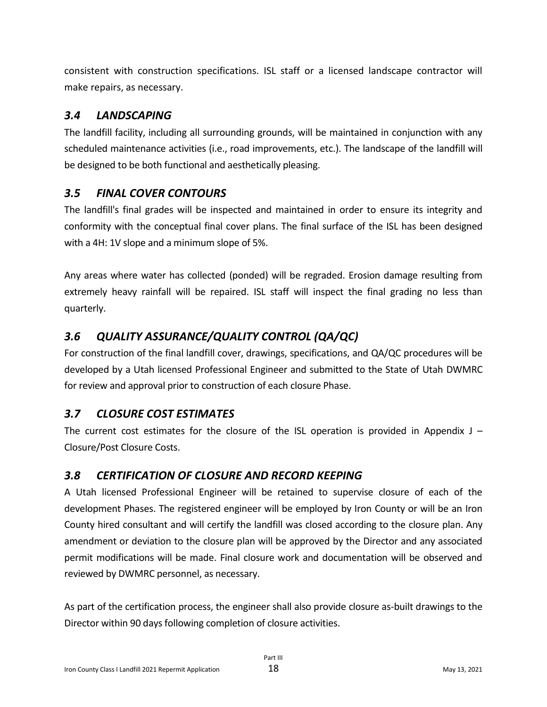consistent with construction specifications. ISL staff or a licensed landscape contractor will make repairs, as necessary.

# *3.4 LANDSCAPING*

The landfill facility, including all surrounding grounds, will be maintained in conjunction with any scheduled maintenance activities (i.e., road improvements, etc.). The landscape of the landfill will be designed to be both functional and aesthetically pleasing.

# *3.5 FINAL COVER CONTOURS*

The landfill's final grades will be inspected and maintained in order to ensure its integrity and conformity with the conceptual final cover plans. The final surface of the ISL has been designed with a 4H: 1V slope and a minimum slope of 5%.

Any areas where water has collected (ponded) will be regraded. Erosion damage resulting from extremely heavy rainfall will be repaired. ISL staff will inspect the final grading no less than quarterly.

# *3.6 QUALITY ASSURANCE/QUALITY CONTROL (QA/QC)*

For construction of the final landfill cover, drawings, specifications, and QA/QC procedures will be developed by a Utah licensed Professional Engineer and submitted to the State of Utah DWMRC for review and approval prior to construction of each closure Phase.

# *3.7 CLOSURE COST ESTIMATES*

The current cost estimates for the closure of the ISL operation is provided in Appendix  $J -$ Closure/Post Closure Costs.

# *3.8 CERTIFICATION OF CLOSURE AND RECORD KEEPING*

A Utah licensed Professional Engineer will be retained to supervise closure of each of the development Phases. The registered engineer will be employed by Iron County or will be an Iron County hired consultant and will certify the landfill was closed according to the closure plan. Any amendment or deviation to the closure plan will be approved by the Director and any associated permit modifications will be made. Final closure work and documentation will be observed and reviewed by DWMRC personnel, as necessary.

As part of the certification process, the engineer shall also provide closure as-built drawings to the Director within 90 days following completion of closure activities.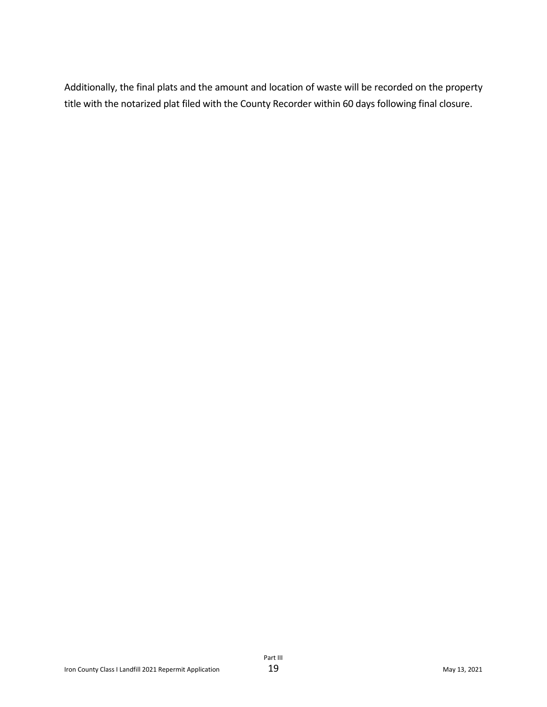Additionally, the final plats and the amount and location of waste will be recorded on the property title with the notarized plat filed with the County Recorder within 60 days following final closure.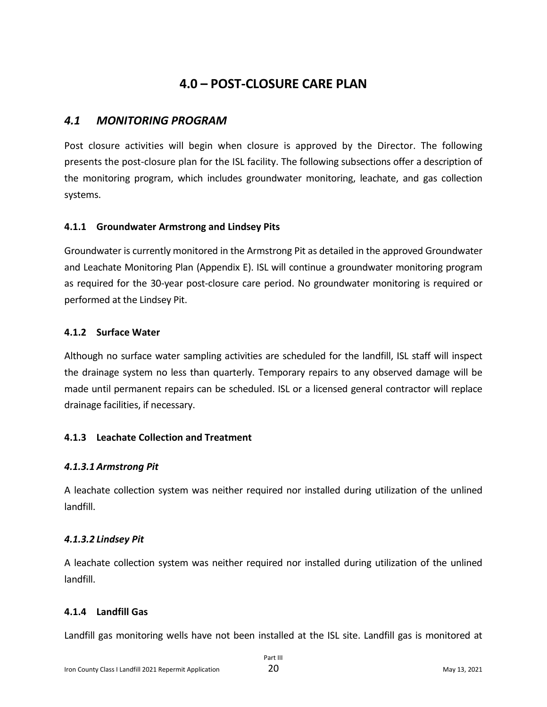# **4.0 – POST-CLOSURE CARE PLAN**

### *4.1 MONITORING PROGRAM*

Post closure activities will begin when closure is approved by the Director. The following presents the post-closure plan for the ISL facility. The following subsections offer a description of the monitoring program, which includes groundwater monitoring, leachate, and gas collection systems.

#### **4.1.1 Groundwater Armstrong and Lindsey Pits**

Groundwater is currently monitored in the Armstrong Pit as detailed in the approved Groundwater and Leachate Monitoring Plan (Appendix E). ISL will continue a groundwater monitoring program as required for the 30-year post-closure care period. No groundwater monitoring is required or performed at the Lindsey Pit.

#### **4.1.2 Surface Water**

Although no surface water sampling activities are scheduled for the landfill, ISL staff will inspect the drainage system no less than quarterly. Temporary repairs to any observed damage will be made until permanent repairs can be scheduled. ISL or a licensed general contractor will replace drainage facilities, if necessary.

### **4.1.3 Leachate Collection and Treatment**

### *4.1.3.1 Armstrong Pit*

A leachate collection system was neither required nor installed during utilization of the unlined landfill.

### *4.1.3.2 Lindsey Pit*

A leachate collection system was neither required nor installed during utilization of the unlined landfill.

### **4.1.4 Landfill Gas**

Landfill gas monitoring wells have not been installed at the ISL site. Landfill gas is monitored at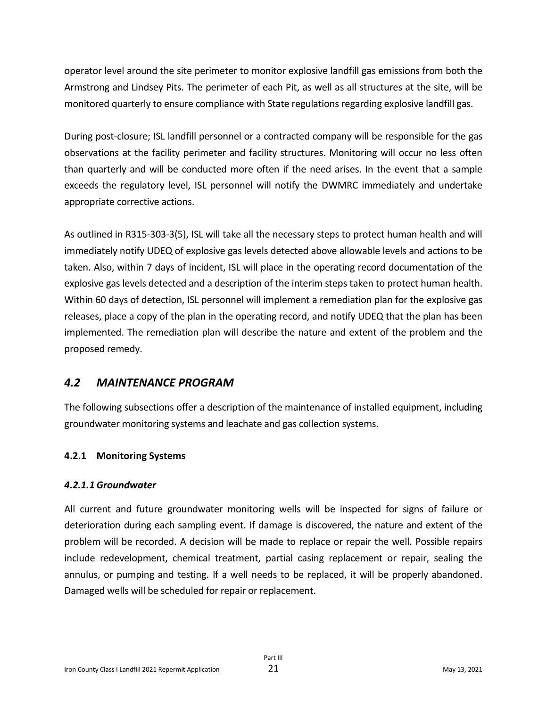operator level around the site perimeter to monitor explosive landfill gas emissions from both the Armstrong and Lindsey Pits. The perimeter of each Pit, as well as all structures at the site, will be monitored quarterly to ensure compliance with State regulations regarding explosive landfill gas.

During post-closure; ISL landfill personnel or a contracted company will be responsible for the gas observations at the facility perimeter and facility structures. Monitoring will occur no less often than quarterly and will be conducted more often if the need arises. In the event that a sample exceeds the regulatory level, ISL personnel will notify the DWMRC immediately and undertake appropriate corrective actions.

As outlined in R315-303-3(5), ISL will take all the necessary steps to protect human health and will immediately notify UDEQ of explosive gas levels detected above allowable levels and actions to be taken. Also, within 7 days of incident, ISL will place in the operating record documentation of the explosive gas levels detected and a description of the interim steps taken to protect human health. Within 60 days of detection, ISL personnel will implement a remediation plan for the explosive gas releases, place a copy of the plan in the operating record, and notify UDEQ that the plan has been implemented. The remediation plan will describe the nature and extent of the problem and the proposed remedy.

### *4.2 MAINTENANCE PROGRAM*

The following subsections offer a description of the maintenance of installed equipment, including groundwater monitoring systems and leachate and gas collection systems.

#### **4.2.1 Monitoring Systems**

#### *4.2.1.1 Groundwater*

All current and future groundwater monitoring wells will be inspected for signs of failure or deterioration during each sampling event. If damage is discovered, the nature and extent of the problem will be recorded. A decision will be made to replace or repair the well. Possible repairs include redevelopment, chemical treatment, partial casing replacement or repair, sealing the annulus, or pumping and testing. If a well needs to be replaced, it will be properly abandoned. Damaged wells will be scheduled for repair or replacement.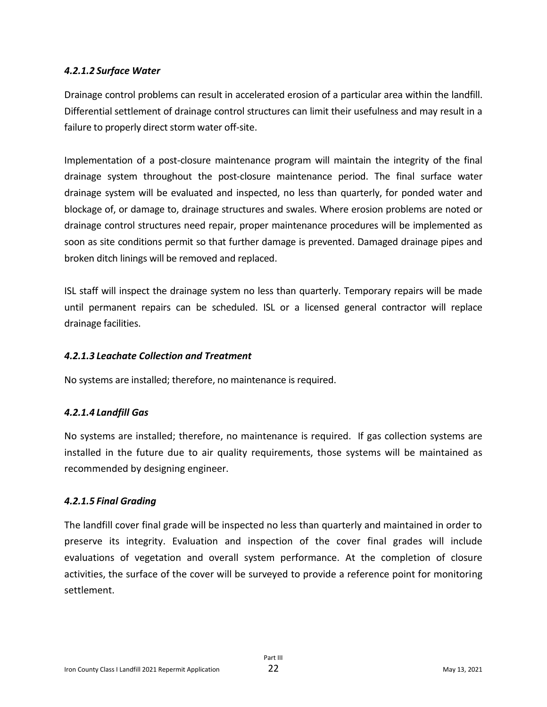#### *4.2.1.2 Surface Water*

Drainage control problems can result in accelerated erosion of a particular area within the landfill. Differential settlement of drainage control structures can limit their usefulness and may result in a failure to properly direct storm water off-site.

Implementation of a post-closure maintenance program will maintain the integrity of the final drainage system throughout the post-closure maintenance period. The final surface water drainage system will be evaluated and inspected, no less than quarterly, for ponded water and blockage of, or damage to, drainage structures and swales. Where erosion problems are noted or drainage control structures need repair, proper maintenance procedures will be implemented as soon as site conditions permit so that further damage is prevented. Damaged drainage pipes and broken ditch linings will be removed and replaced.

ISL staff will inspect the drainage system no less than quarterly. Temporary repairs will be made until permanent repairs can be scheduled. ISL or a licensed general contractor will replace drainage facilities.

#### *4.2.1.3 Leachate Collection and Treatment*

No systems are installed; therefore, no maintenance is required.

### *4.2.1.4 Landfill Gas*

No systems are installed; therefore, no maintenance is required. If gas collection systems are installed in the future due to air quality requirements, those systems will be maintained as recommended by designing engineer.

#### *4.2.1.5 Final Grading*

The landfill cover final grade will be inspected no less than quarterly and maintained in order to preserve its integrity. Evaluation and inspection of the cover final grades will include evaluations of vegetation and overall system performance. At the completion of closure activities, the surface of the cover will be surveyed to provide a reference point for monitoring settlement.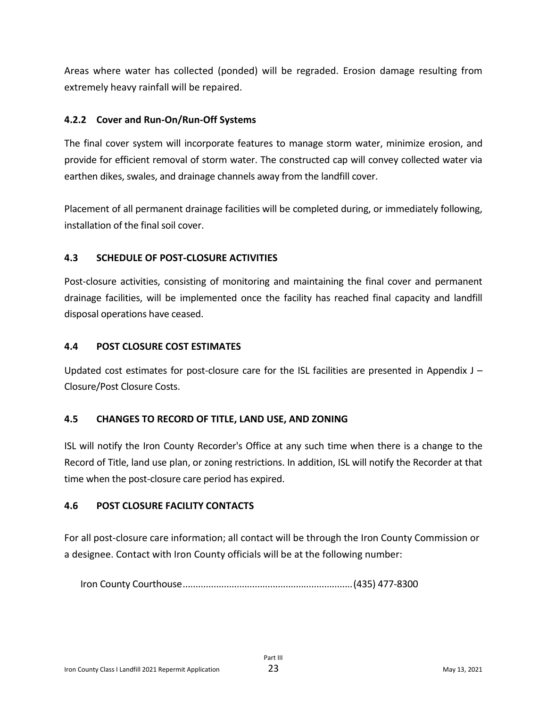Areas where water has collected (ponded) will be regraded. Erosion damage resulting from extremely heavy rainfall will be repaired.

### **4.2.2 Cover and Run-On/Run-Off Systems**

The final cover system will incorporate features to manage storm water, minimize erosion, and provide for efficient removal of storm water. The constructed cap will convey collected water via earthen dikes, swales, and drainage channels away from the landfill cover.

Placement of all permanent drainage facilities will be completed during, or immediately following, installation of the final soil cover.

#### **4.3 SCHEDULE OF POST-CLOSURE ACTIVITIES**

Post-closure activities, consisting of monitoring and maintaining the final cover and permanent drainage facilities, will be implemented once the facility has reached final capacity and landfill disposal operations have ceased.

#### **4.4 POST CLOSURE COST ESTIMATES**

Updated cost estimates for post-closure care for the ISL facilities are presented in Appendix  $J -$ Closure/Post Closure Costs.

### **4.5 CHANGES TO RECORD OF TITLE, LAND USE, AND ZONING**

ISL will notify the Iron County Recorder's Office at any such time when there is a change to the Record of Title, land use plan, or zoning restrictions. In addition, ISL will notify the Recorder at that time when the post-closure care period has expired.

### **4.6 POST CLOSURE FACILITY CONTACTS**

For all post-closure care information; all contact will be through the Iron County Commission or a designee. Contact with Iron County officials will be at the following number:

Iron County Courthouse..................................................................(435) 477-8300